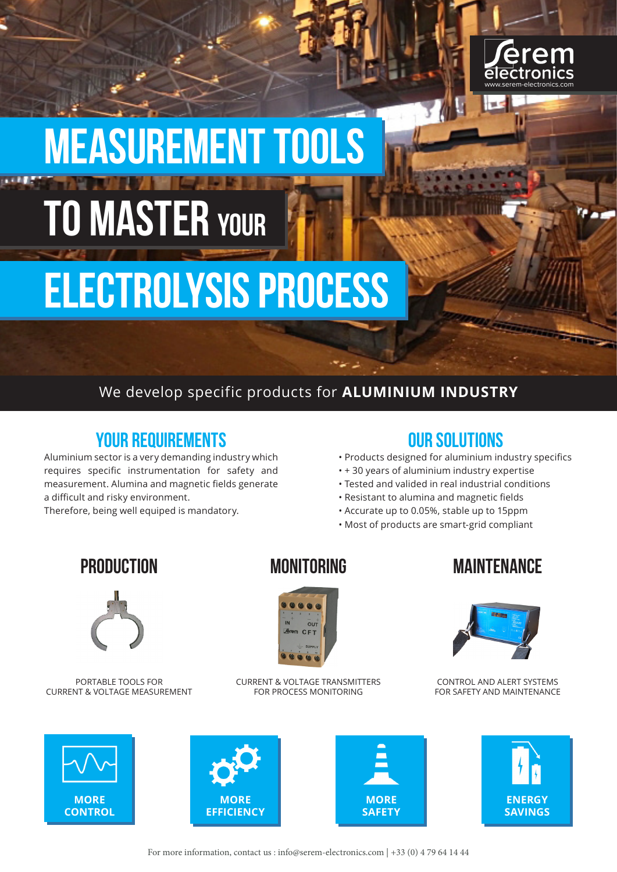

# Measurement tools **TO MASTER YOUR**

## electrolysis process

#### We develop specific products for **ALUMINIUM INDUSTRY**

### YOUR REQUIREMENTS

Aluminium sector is a very demanding industry which requires specific instrumentation for safety and measurement. Alumina and magnetic fields generate a difficult and risky environment.

Therefore, being well equiped is mandatory.

#### OUR SOLUTIONS

- Products designed for aluminium industry specifics
- + 30 years of aluminium industry expertise
- Tested and valided in real industrial conditions
- Resistant to alumina and magnetic fields
- Accurate up to 0.05%, stable up to 15ppm
- Most of products are smart-grid compliant



PORTABLE TOOLS FOR CURRENT & VOLTAGE MEASUREMENT



CURRENT & VOLTAGE TRANSMITTERS FOR PROCESS MONITORING

### PRODUCTION MONITORING MAINTENANCE



CONTROL AND ALERT SYSTEMS FOR SAFETY AND MAINTENANCE